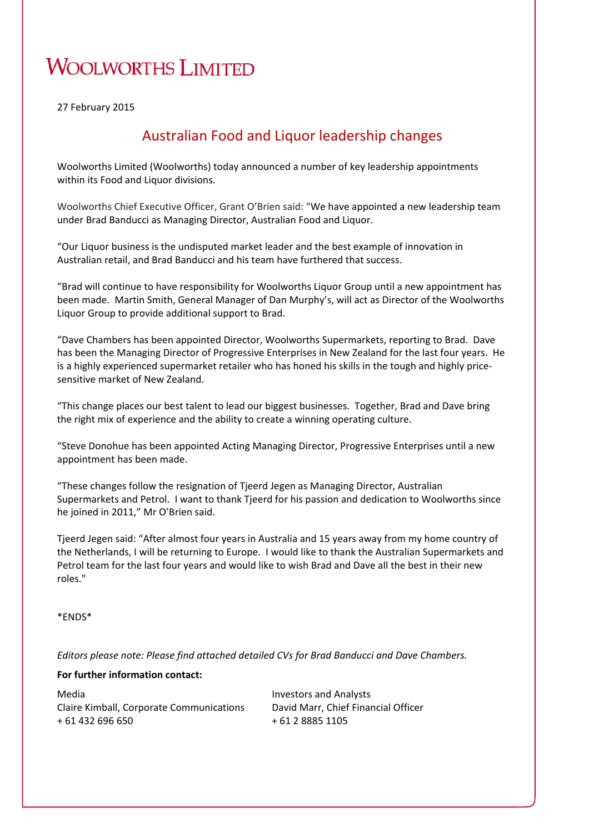## **WOOLWORTHS LIMITED**

27 February 2015

#### Australian Food and Liquor leadership changes

Woolworths Limited (Woolworths) today announced a number of key leadership appointments within its Food and Liquor divisions.

Woolworths Chief Executive Officer, Grant O'Brien said: "We have appointed a new leadership team under Brad Banducci as Managing Director, Australian Food and Liquor.

"Our Liquor business is the undisputed market leader and the best example of innovation in Australian retail, and Brad Banducci and his team have furthered that success.

"Brad will continue to have responsibility for Woolworths Liquor Group until a new appointment has been made. Martin Smith, General Manager of Dan Murphy's, will act as Director of the Woolworths Liquor Group to provide additional support to Brad.

"Dave Chambers has been appointed Director, Woolworths Supermarkets, reporting to Brad. Dave has been the Managing Director of Progressive Enterprises in New Zealand for the last four years. He is a highly experienced supermarket retailer who has honed his skills in the tough and highly price‐ sensitive market of New Zealand.

"This change places our best talent to lead our biggest businesses. Together, Brad and Dave bring the right mix of experience and the ability to create a winning operating culture.

"Steve Donohue has been appointed Acting Managing Director, Progressive Enterprises until a new appointment has been made.

"These changes follow the resignation of Tjeerd Jegen as Managing Director, Australian Supermarkets and Petrol. I want to thank Tjeerd for his passion and dedication to Woolworths since he joined in 2011," Mr O'Brien said.

Tjeerd Jegen said: "After almost four years in Australia and 15 years away from my home country of the Netherlands, I will be returning to Europe. I would like to thank the Australian Supermarkets and Petrol team for the last four years and would like to wish Brad and Dave all the best in their new roles."

\*ENDS\*

*Editors please note: Please find attached detailed CVs for Brad Banducci and Dave Chambers.*

#### **For further information contact:**

Media Claire Kimball, Corporate Communications + 61 432 696 650

Investors and Analysts David Marr, Chief Financial Officer + 61 2 8885 1105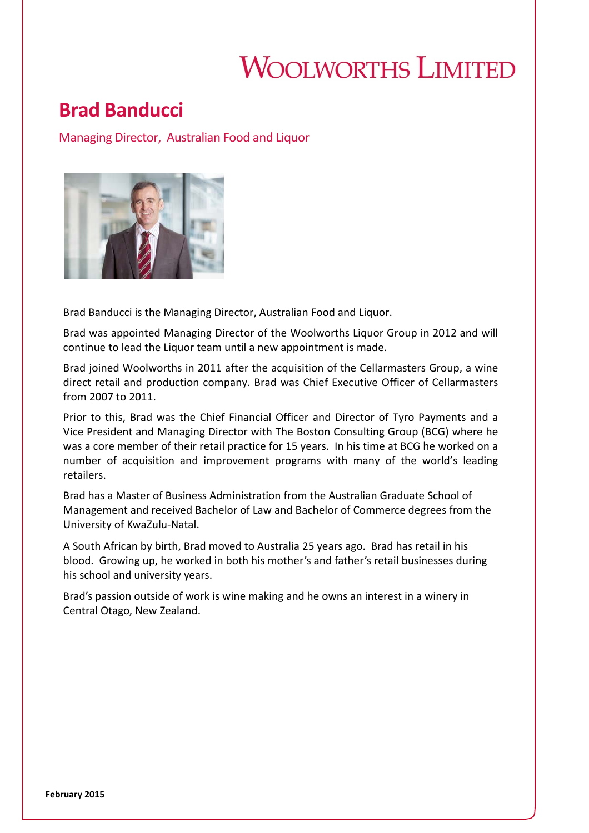# **WOOLWORTHS LIMITED**

## **Brad Banducci**

Managing Director, Australian Food and Liquor



Brad Banducci is the Managing Director, Australian Food and Liquor.

Brad was appointed Managing Director of the Woolworths Liquor Group in 2012 and will continue to lead the Liquor team until a new appointment is made.

Brad joined Woolworths in 2011 after the acquisition of the Cellarmasters Group, a wine direct retail and production company. Brad was Chief Executive Officer of Cellarmasters from 2007 to 2011.

Prior to this, Brad was the Chief Financial Officer and Director of Tyro Payments and a Vice President and Managing Director with The Boston Consulting Group (BCG) where he was a core member of their retail practice for 15 years. In his time at BCG he worked on a number of acquisition and improvement programs with many of the world's leading retailers.

Brad has a Master of Business Administration from the Australian Graduate School of Management and received Bachelor of Law and Bachelor of Commerce degrees from the University of KwaZulu‐Natal.

A South African by birth, Brad moved to Australia 25 years ago. Brad has retail in his blood. Growing up, he worked in both his mother's and father's retail businesses during his school and university years.

Brad's passion outside of work is wine making and he owns an interest in a winery in Central Otago, New Zealand.